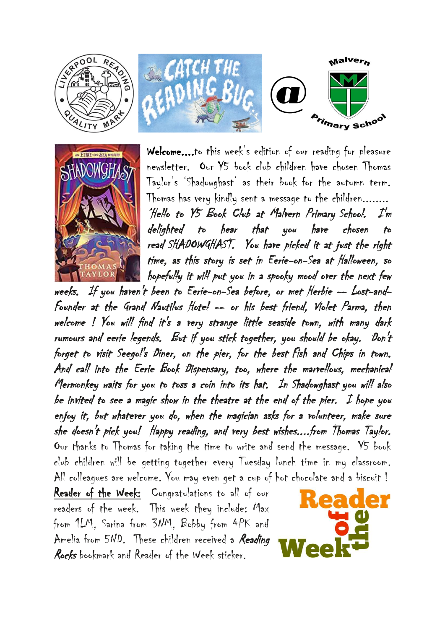



Welcome....to this week's edition of our reading for pleasure newsletter. Our Y5 book club children have chosen Thomas Taylor's 'Shadowghast' as their book for the autumn term. Thomas has very kindly sent a message to the children........ 'Hello to Y5 Book Club at Malvern Primary School. I'm delighted to hear that you have chosen to read SHADOWGHAST. You have picked it at just the right time, as this story is set in Eerie-on-Sea at Halloween, so hopefully it will put you in a spooky mood over the next few

weeks. If you haven't been to Eerie-on-Sea before, or met Herbie -- Lost-and-Founder at the Grand Nautilus Hotel -- or his best friend, Violet Parma, then welcome ! You will find it's a very strange little seaside town, with many dark rumours and eerie legends. But if you stick together, you should be okay. Don't forget to visit Seegol's Diner, on the pier, for the best Fish and Chips in town. And call into the Eerie Book Dispensary, too, where the marvellous, mechanical Mermonkey waits for you to toss a coin into its hat. In Shadowghast you will also be invited to see a magic show in the theatre at the end of the pier. I hope you enjoy it, but whatever you do, when the magician asks for a volunteer, make sure she doesn't pick you! Happy reading, and very best wishes....from Thomas Taylor. Our thanks to Thomas for taking the time to write and send the message. Y5 book club children will be getting together every Tuesday lunch time in my classroom. All colleagues are welcome. You may even get a cup of hot chocolate and a biscuit!

Reader of the Week: Congratulations to all of our readers of the week. This week they include: Max from 1LM, Sarina from 3NM, Bobby from 4PK and Amelia from 5ND. These children received a Reading Rocks bookmark and Reader of the Week sticker.